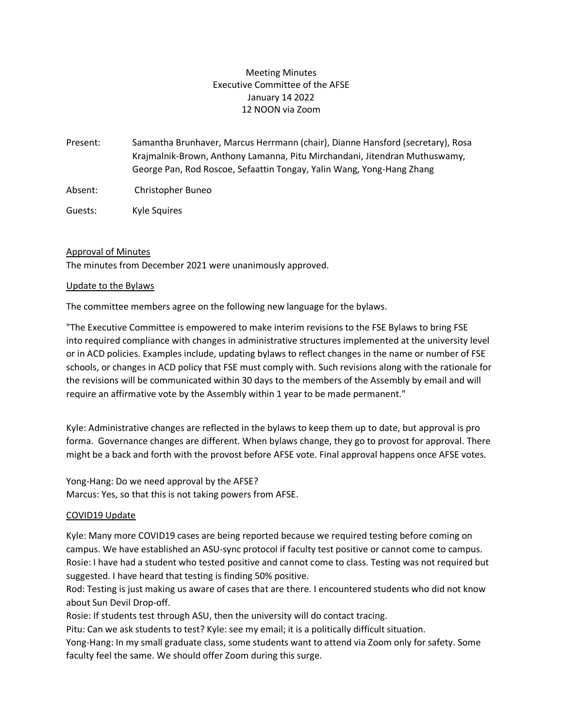# Meeting Minutes Executive Committee of the AFSE January 14 2022 12 NOON via Zoom

- Present: Samantha Brunhaver, Marcus Herrmann (chair), Dianne Hansford (secretary), Rosa Krajmalnik-Brown, Anthony Lamanna, Pitu Mirchandani, Jitendran Muthuswamy, George Pan, Rod Roscoe, Sefaattin Tongay, Yalin Wang, Yong-Hang Zhang
- Absent: Christopher Buneo
- Guests: Kyle Squires

### Approval of Minutes

The minutes from December 2021 were unanimously approved.

#### Update to the Bylaws

The committee members agree on the following new language for the bylaws.

"The Executive Committee is empowered to make interim revisions to the FSE Bylaws to bring FSE into required compliance with changes in administrative structures implemented at the university level or in ACD policies. Examples include, updating bylaws to reflect changes in the name or number of FSE schools, or changes in ACD policy that FSE must comply with. Such revisions along with the rationale for the revisions will be communicated within 30 days to the members of the Assembly by email and will require an affirmative vote by the Assembly within 1 year to be made permanent."

Kyle: Administrative changes are reflected in the bylaws to keep them up to date, but approval is pro forma. Governance changes are different. When bylaws change, they go to provost for approval. There might be a back and forth with the provost before AFSE vote. Final approval happens once AFSE votes.

Yong-Hang: Do we need approval by the AFSE? Marcus: Yes, so that this is not taking powers from AFSE.

#### COVID19 Update

Kyle: Many more COVID19 cases are being reported because we required testing before coming on campus. We have established an ASU-sync protocol if faculty test positive or cannot come to campus. Rosie: I have had a student who tested positive and cannot come to class. Testing was not required but suggested. I have heard that testing is finding 50% positive.

Rod: Testing is just making us aware of cases that are there. I encountered students who did not know about Sun Devil Drop-off.

Rosie: If students test through ASU, then the university will do contact tracing.

Pitu: Can we ask students to test? Kyle: see my email; it is a politically difficult situation.

Yong-Hang: In my small graduate class, some students want to attend via Zoom only for safety. Some faculty feel the same. We should offer Zoom during this surge.